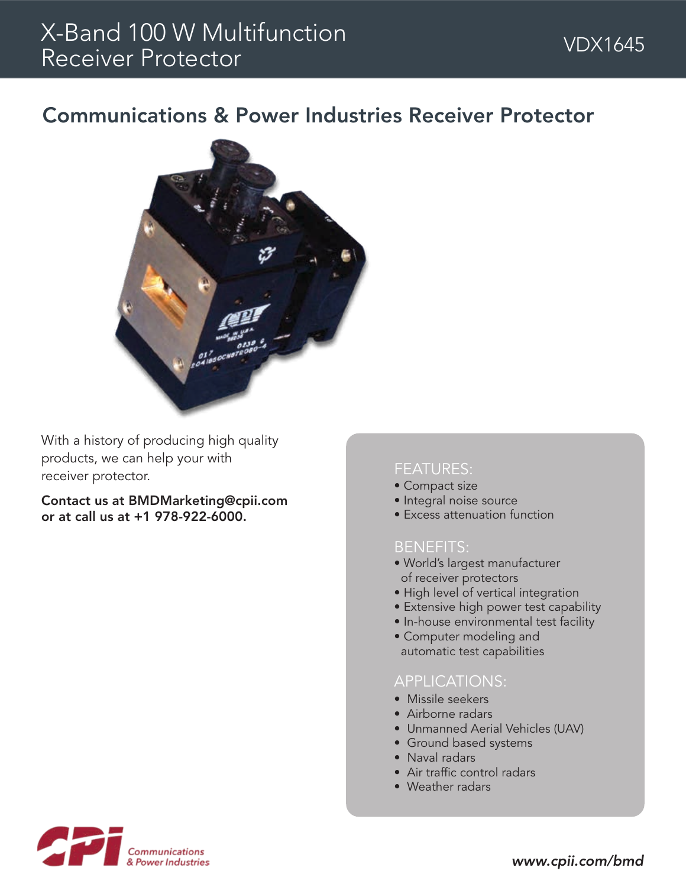## Communications & Power Industries Receiver Protector



With a history of producing high quality products, we can help your with receiver protector.

Contact us at BMDMarketing@cpii.com or at call us at +1 978-922-6000.

### FEATURES:

- Compact size
- Integral noise source
- Excess attenuation function

## BENEFITS:

- World's largest manufacturer of receiver protectors
- High level of vertical integration
- Extensive high power test capability
- In-house environmental test facility
- Computer modeling and automatic test capabilities

### APPLICATIONS:

- Missile seekers
- Airborne radars
- Unmanned Aerial Vehicles (UAV)
- Ground based systems
- Naval radars
- Air traffic control radars
- Weather radars